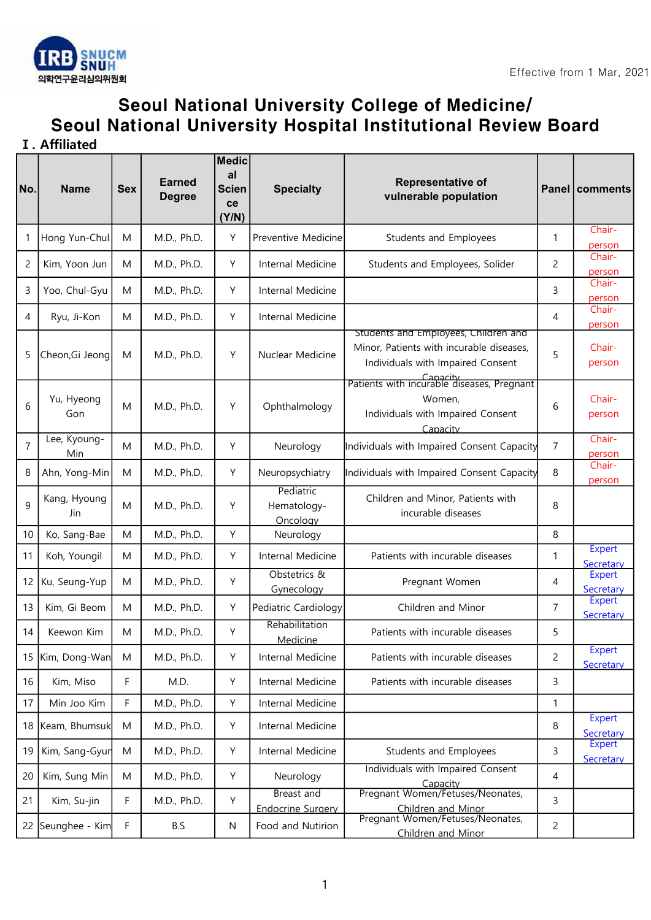

## Seoul National University College of Medicine/ Seoul National University Hospital Institutional Review Board

Ⅰ. Affiliated

| No.            | <b>Name</b>                | <b>Sex</b> | <b>Earned</b><br><b>Degree</b> | <b>Medic</b><br>al<br><b>Scien</b><br>ce<br>(Y/N) | <b>Specialty</b>                       | Representative of<br>vulnerable population                                                                            |                | Panel   comments           |
|----------------|----------------------------|------------|--------------------------------|---------------------------------------------------|----------------------------------------|-----------------------------------------------------------------------------------------------------------------------|----------------|----------------------------|
| 1              | Hong Yun-Chul              | M          | M.D., Ph.D.                    | Y                                                 | Preventive Medicine                    | Students and Employees                                                                                                | 1              | Chair-<br>person           |
| $\overline{c}$ | Kim, Yoon Jun              | M          | M.D., Ph.D.                    | Υ                                                 | Internal Medicine                      | Students and Employees, Solider                                                                                       | 2              | Chair-<br>person           |
| 3              | Yoo, Chul-Gyu              | M          | M.D., Ph.D.                    | Y                                                 | Internal Medicine                      |                                                                                                                       | 3              | Chair-<br>person           |
| 4              | Ryu, Ji-Kon                | M          | M.D., Ph.D.                    | Y                                                 | Internal Medicine                      |                                                                                                                       | 4              | Chair-<br>person           |
| 5              | Cheon, Gi Jeong            | M          | M.D., Ph.D.                    | Y                                                 | Nuclear Medicine                       | Students and Employees, Children and<br>Minor, Patients with incurable diseases,<br>Individuals with Impaired Consent | 5              | Chair-<br>person           |
| 6              | Yu, Hyeong<br>Gon          | M          | M.D., Ph.D.                    | Y                                                 | Ophthalmology                          | Patients with incurable diseases, Pregnant<br>Women,<br>Individuals with Impaired Consent<br>Capacity                 | 6              | Chair-<br>person           |
| $\overline{7}$ | Lee, Kyoung-<br><b>Min</b> | M          | M.D., Ph.D.                    | Y                                                 | Neurology                              | Individuals with Impaired Consent Capacity                                                                            | $\overline{7}$ | Chair-<br>person           |
| 8              | Ahn, Yong-Min              | M          | M.D., Ph.D.                    | Y                                                 | Neuropsychiatry                        | Individuals with Impaired Consent Capacity                                                                            | 8              | Chair-<br>person           |
| 9              | Kang, Hyoung<br>Jin        | M          | M.D., Ph.D.                    | Y                                                 | Pediatric<br>Hematology-<br>Oncology   | Children and Minor, Patients with<br>incurable diseases                                                               | 8              |                            |
| 10             | Ko, Sang-Bae               | M          | M.D., Ph.D.                    | Υ                                                 | Neurology                              |                                                                                                                       | 8              |                            |
| 11             | Koh, Youngil               | M          | M.D., Ph.D.                    | Y                                                 | Internal Medicine                      | Patients with incurable diseases                                                                                      | 1              | <b>Expert</b><br>Secretary |
| 12             | Ku, Seung-Yup              | M          | M.D., Ph.D.                    | Y                                                 | Obstetrics &<br>Gynecology             | Pregnant Women                                                                                                        | 4              | <b>Expert</b><br>Secretary |
| 13             | Kim, Gi Beom               | M          | M.D., Ph.D.                    | Y                                                 | Pediatric Cardiology                   | Children and Minor                                                                                                    | $\overline{7}$ | <b>Expert</b><br>Secretary |
| 14             | Keewon Kim                 | M          | M.D., Ph.D.                    | Y                                                 | Rehabilitation<br>Medicine             | Patients with incurable diseases                                                                                      | 5              |                            |
| 15             | Kim, Dong-Wan              | M          | M.D., Ph.D.                    | Υ                                                 | Internal Medicine                      | Patients with incurable diseases                                                                                      | $\overline{c}$ | Expert<br>Secretary        |
| 16             | Kim, Miso                  | F          | M.D.                           | Υ                                                 | Internal Medicine                      | Patients with incurable diseases                                                                                      | 3              |                            |
| 17             | Min Joo Kim                | F          | M.D., Ph.D.                    | Υ                                                 | Internal Medicine                      |                                                                                                                       | $\mathbf{1}$   |                            |
| 18             | Keam, Bhumsuk              | M          | M.D., Ph.D.                    | Υ                                                 | Internal Medicine                      |                                                                                                                       | 8              | <b>Expert</b><br>Secretary |
| 19             | Kim, Sang-Gyur             | M          | M.D., Ph.D.                    | Υ                                                 | Internal Medicine                      | <b>Students and Employees</b>                                                                                         | 3              | <b>Expert</b><br>Secretary |
| 20             | Kim, Sung Min              | M          | M.D., Ph.D.                    | Υ                                                 | Neurology                              | Individuals with Impaired Consent<br>Capacity                                                                         | $\overline{4}$ |                            |
| 21             | Kim, Su-jin                | F          | M.D., Ph.D.                    | Υ                                                 | Breast and<br><b>Endocrine Surgery</b> | Pregnant Women/Fetuses/Neonates,<br>Children and Minor                                                                | 3              |                            |
|                | 22 Seunghee - Kim          | F          | B.S                            | ${\sf N}$                                         | Food and Nutirion                      | Pregnant Women/Fetuses/Neonates,<br>Children and Minor                                                                | $\overline{c}$ |                            |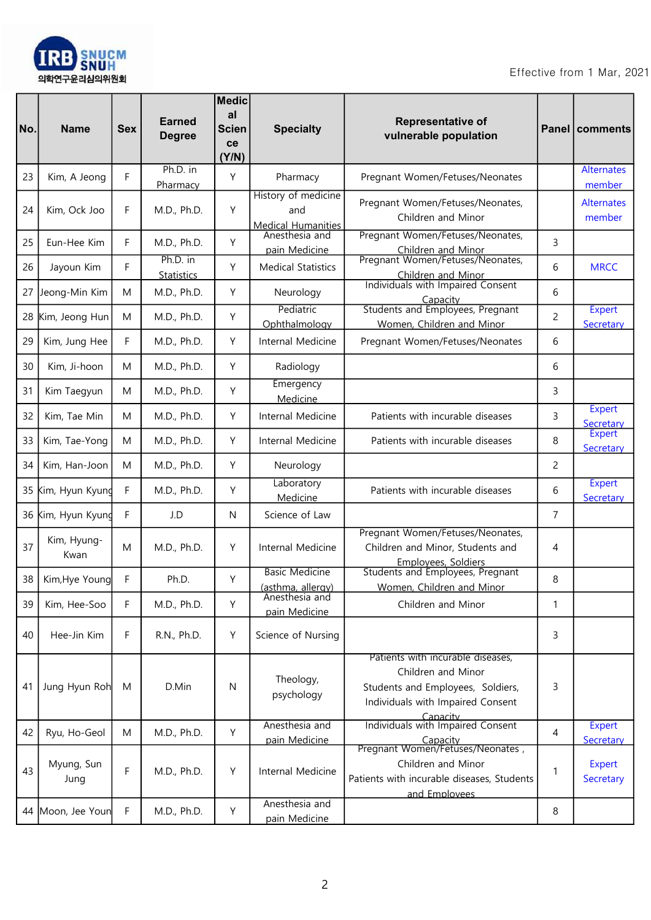

| No. | <b>Name</b>         | <b>Sex</b> | <b>Earned</b><br><b>Degree</b> | <b>Medic</b><br>al<br><b>Scien</b><br><b>ce</b><br>(Y/N) | <b>Specialty</b>                                        | <b>Representative of</b><br>vulnerable population                                                                                             |   | Panel   comments            |
|-----|---------------------|------------|--------------------------------|----------------------------------------------------------|---------------------------------------------------------|-----------------------------------------------------------------------------------------------------------------------------------------------|---|-----------------------------|
| 23  | Kim, A Jeong        | F          | Ph.D. in<br>Pharmacy           | Y                                                        | Pharmacy                                                | Pregnant Women/Fetuses/Neonates                                                                                                               |   | <b>Alternates</b><br>member |
| 24  | Kim, Ock Joo        | F          | M.D., Ph.D.                    | Y                                                        | History of medicine<br>and<br><b>Medical Humanities</b> | Pregnant Women/Fetuses/Neonates,<br>Children and Minor                                                                                        |   | <b>Alternates</b><br>member |
| 25  | Eun-Hee Kim         | F          | M.D., Ph.D.                    | Y                                                        | Anesthesia and<br>pain Medicine                         | Pregnant Women/Fetuses/Neonates,<br>Children and Minor                                                                                        | 3 |                             |
| 26  | Jayoun Kim          | F          | Ph.D. in<br><b>Statistics</b>  | Y                                                        | <b>Medical Statistics</b>                               | Pregnant Women/Fetuses/Neonates,<br>Children and Minor                                                                                        | 6 | <b>MRCC</b>                 |
| 27  | Jeong-Min Kim       | M          | M.D., Ph.D.                    | Y                                                        | Neurology                                               | Individuals with Impaired Consent<br>Capacity                                                                                                 | 6 |                             |
| 28  | Kim, Jeong Hun      | M          | M.D., Ph.D.                    | Υ                                                        | Pediatric<br>Ophthalmology                              | Students and Employees, Pregnant<br>Women, Children and Minor                                                                                 | 2 | <b>Expert</b><br>Secretary  |
| 29  | Kim, Jung Hee       | F          | M.D., Ph.D.                    | Υ                                                        | Internal Medicine                                       | Pregnant Women/Fetuses/Neonates                                                                                                               | 6 |                             |
| 30  | Kim, Ji-hoon        | M          | M.D., Ph.D.                    | Y                                                        | Radiology                                               |                                                                                                                                               | 6 |                             |
| 31  | Kim Taegyun         | M          | M.D., Ph.D.                    | Υ                                                        | Emergency<br>Medicine                                   |                                                                                                                                               | 3 |                             |
| 32  | Kim, Tae Min        | M          | M.D., Ph.D.                    | Υ                                                        | Internal Medicine                                       | Patients with incurable diseases                                                                                                              | 3 | <b>Expert</b><br>Secretary  |
| 33  | Kim, Tae-Yong       | M          | M.D., Ph.D.                    | Υ                                                        | Internal Medicine                                       | Patients with incurable diseases                                                                                                              | 8 | <b>Expert</b><br>Secretary  |
| 34  | Kim, Han-Joon       | M          | M.D., Ph.D.                    | Y                                                        | Neurology                                               |                                                                                                                                               | 2 |                             |
| 35  | Kim, Hyun Kyund     | F          | M.D., Ph.D.                    | Υ                                                        | Laboratory<br>Medicine                                  | Patients with incurable diseases                                                                                                              | 6 | <b>Expert</b><br>Secretary  |
| 36  | Kim, Hyun Kyund     | F          | J.D                            | N                                                        | Science of Law                                          | Pregnant Women/Fetuses/Neonates,                                                                                                              | 7 |                             |
| 37  | Kim, Hyung-<br>Kwan | M          | M.D., Ph.D.                    | Y                                                        | Internal Medicine                                       | Children and Minor, Students and<br>Employees, Soldiers                                                                                       | 4 |                             |
| 38  | Kim, Hye Young      | F          | Ph.D.                          | Y                                                        | <b>Basic Medicine</b><br>(asthma, allergy)              | Students and Employees, Pregnant<br>Women, Children and Minor                                                                                 | 8 |                             |
| 39  | Kim, Hee-Soo        | F          | M.D., Ph.D.                    | Y                                                        | Anesthesia and<br>pain Medicine                         | Children and Minor                                                                                                                            | 1 |                             |
| 40  | Hee-Jin Kim         | F          | R.N., Ph.D.                    | Υ                                                        | Science of Nursing                                      |                                                                                                                                               | 3 |                             |
| 41  | Jung Hyun Roh       | M          | D.Min                          | N                                                        | Theology,<br>psychology                                 | Patients with incurable diseases,<br>Children and Minor<br>Students and Employees, Soldiers,<br>Individuals with Impaired Consent<br>Capacity | 3 |                             |
| 42  | Ryu, Ho-Geol        | M          | M.D., Ph.D.                    | Υ                                                        | Anesthesia and<br>pain Medicine                         | Individuals with Impaired Consent<br>Capacity                                                                                                 | 4 | <b>Expert</b><br>Secretary  |
| 43  | Myung, Sun<br>Jung  | F          | M.D., Ph.D.                    | Υ                                                        | Internal Medicine                                       | Pregnant Women/Fetuses/Neonates,<br>Children and Minor<br>Patients with incurable diseases, Students<br>and Employees                         | 1 | <b>Expert</b><br>Secretary  |
|     | 44 Moon, Jee Youn   | F          | M.D., Ph.D.                    | Υ                                                        | Anesthesia and<br>pain Medicine                         |                                                                                                                                               | 8 |                             |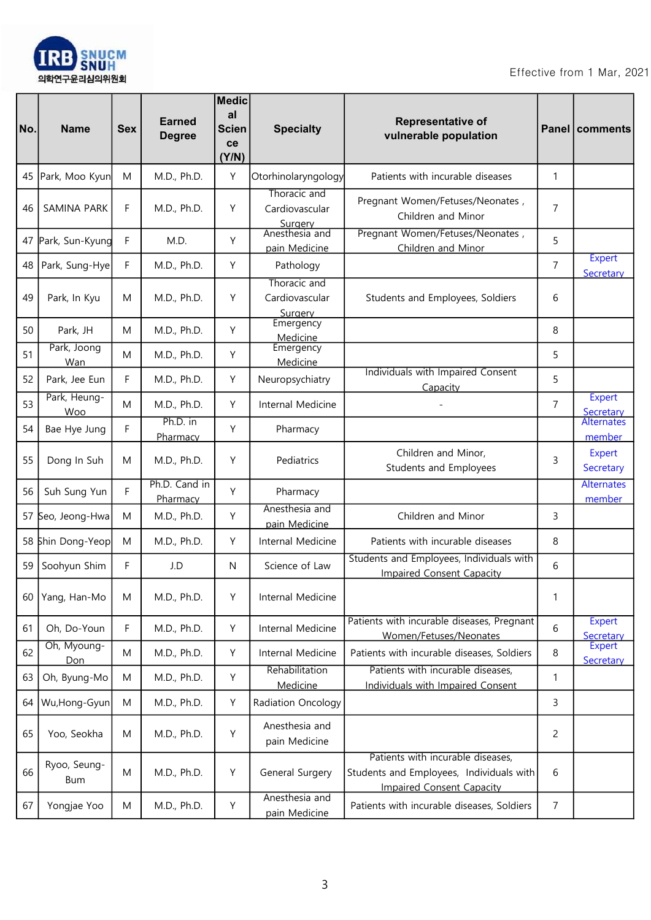

| No. | <b>Name</b>         | <b>Sex</b> | <b>Earned</b><br><b>Degree</b> | <b>Medic</b><br>al<br><b>Scien</b><br>ce<br>(Y/N) | <b>Specialty</b>                          | <b>Representative of</b><br>vulnerable population                                                                 |                | Panel   comments            |
|-----|---------------------|------------|--------------------------------|---------------------------------------------------|-------------------------------------------|-------------------------------------------------------------------------------------------------------------------|----------------|-----------------------------|
| 45  | Park, Moo Kyun      | M          | M.D., Ph.D.                    | Y                                                 | Otorhinolaryngology                       | Patients with incurable diseases                                                                                  | 1              |                             |
| 46  | SAMINA PARK         | F          | M.D., Ph.D.                    | Y                                                 | Thoracic and<br>Cardiovascular<br>Surgery | Pregnant Women/Fetuses/Neonates,<br>Children and Minor                                                            | 7              |                             |
| 47  | Park, Sun-Kyung     | F          | M.D.                           | Y                                                 | Anesthesia and<br>pain Medicine           | Pregnant Women/Fetuses/Neonates,<br>Children and Minor                                                            | 5              |                             |
| 48  | Park, Sung-Hye      | F          | M.D., Ph.D.                    | Y                                                 | Pathology                                 |                                                                                                                   | $\overline{7}$ | <b>Expert</b><br>Secretary  |
| 49  | Park, In Kyu        | M          | M.D., Ph.D.                    | Y                                                 | Thoracic and<br>Cardiovascular<br>Surgery | Students and Employees, Soldiers                                                                                  | 6              |                             |
| 50  | Park, JH            | M          | M.D., Ph.D.                    | Y                                                 | Emergency<br>Medicine                     |                                                                                                                   | 8              |                             |
| 51  | Park, Joong<br>Wan  | M          | M.D., Ph.D.                    | Y                                                 | Emergency<br>Medicine                     |                                                                                                                   | 5              |                             |
| 52  | Park, Jee Eun       | F          | M.D., Ph.D.                    | Y                                                 | Neuropsychiatry                           | Individuals with Impaired Consent<br>Capacity                                                                     | 5              |                             |
| 53  | Park, Heung-<br>Woo | M          | M.D., Ph.D.                    | Y                                                 | Internal Medicine                         |                                                                                                                   | $\overline{7}$ | <b>Expert</b><br>Secretary  |
| 54  | Bae Hye Jung        | F          | Ph.D. in<br>Pharmacy           | Y                                                 | Pharmacy                                  |                                                                                                                   |                | <b>Alternates</b><br>member |
| 55  | Dong In Suh         | M          | M.D., Ph.D.                    | Y                                                 | Pediatrics                                | Children and Minor,<br>Students and Employees                                                                     | 3              | Expert<br>Secretary         |
| 56  | Suh Sung Yun        | F          | Ph.D. Cand in<br>Pharmacy      | Y                                                 | Pharmacy                                  |                                                                                                                   |                | <b>Alternates</b><br>member |
| 57  | Seo, Jeong-Hwa      | M          | M.D., Ph.D.                    | Y                                                 | Anesthesia and<br>pain Medicine           | Children and Minor                                                                                                | 3              |                             |
| 58  | Shin Dong-Yeop      | M          | M.D., Ph.D.                    | Υ                                                 | Internal Medicine                         | Patients with incurable diseases                                                                                  | 8              |                             |
| 59  | Soohyun Shim        | F          | J.D                            | N                                                 | Science of Law                            | Students and Employees, Individuals with<br><b>Impaired Consent Capacity</b>                                      | 6              |                             |
| 60  | Yang, Han-Mo        | M          | M.D., Ph.D.                    | Υ                                                 | Internal Medicine                         |                                                                                                                   | 1              |                             |
| 61  | Oh, Do-Youn         | F          | M.D., Ph.D.                    | Υ                                                 | Internal Medicine                         | Patients with incurable diseases, Pregnant<br>Women/Fetuses/Neonates                                              | 6              | <b>Expert</b><br>Secretary  |
| 62  | Oh, Myoung-<br>Don  | M          | M.D., Ph.D.                    | Υ                                                 | Internal Medicine                         | Patients with incurable diseases, Soldiers                                                                        | 8              | <b>Expert</b><br>Secretary  |
| 63  | Oh, Byung-Mo        | M          | M.D., Ph.D.                    | Υ                                                 | Rehabilitation<br>Medicine                | Patients with incurable diseases,<br>Individuals with Impaired Consent                                            | 1              |                             |
| 64  | Wu,Hong-Gyun        | M          | M.D., Ph.D.                    | Υ                                                 | Radiation Oncology                        |                                                                                                                   | 3              |                             |
| 65  | Yoo, Seokha         | M          | M.D., Ph.D.                    | Υ                                                 | Anesthesia and<br>pain Medicine           |                                                                                                                   | 2              |                             |
| 66  | Ryoo, Seung-<br>Bum | M          | M.D., Ph.D.                    | Υ                                                 | General Surgery                           | Patients with incurable diseases,<br>Students and Employees, Individuals with<br><b>Impaired Consent Capacity</b> | 6              |                             |
| 67  | Yongjae Yoo         | M          | M.D., Ph.D.                    | Υ                                                 | Anesthesia and<br>pain Medicine           | Patients with incurable diseases, Soldiers                                                                        | 7              |                             |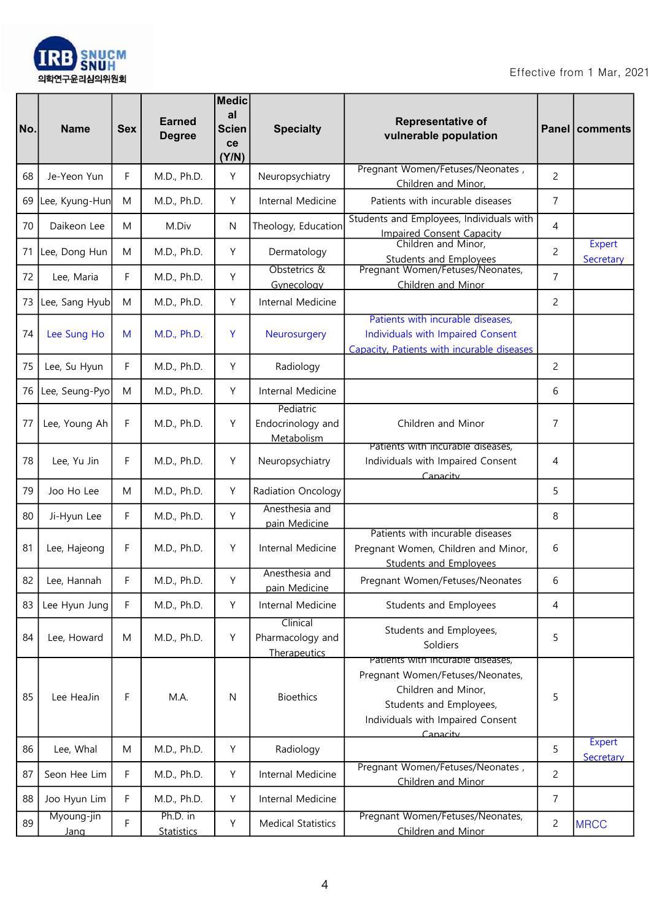

| No. | <b>Name</b>        | <b>Sex</b>  | <b>Earned</b><br><b>Degree</b> | <b>Medic</b><br>al<br><b>Scien</b><br>ce<br>(Y/N) | <b>Specialty</b>                             | Representative of<br>vulnerable population                                                                                                                               |                | Panel   comments           |
|-----|--------------------|-------------|--------------------------------|---------------------------------------------------|----------------------------------------------|--------------------------------------------------------------------------------------------------------------------------------------------------------------------------|----------------|----------------------------|
| 68  | Je-Yeon Yun        | F           | M.D., Ph.D.                    | Y                                                 | Neuropsychiatry                              | Pregnant Women/Fetuses/Neonates,<br>Children and Minor,                                                                                                                  | $\overline{2}$ |                            |
| 69  | Lee, Kyung-Hun     | M           | M.D., Ph.D.                    | Y                                                 | Internal Medicine                            | Patients with incurable diseases                                                                                                                                         | 7              |                            |
| 70  | Daikeon Lee        | M           | M.Div                          | N                                                 | Theology, Education                          | Students and Employees, Individuals with<br><b>Impaired Consent Capacity</b>                                                                                             | 4              |                            |
| 71  | Lee, Dong Hun      | M           | M.D., Ph.D.                    | Y                                                 | Dermatology                                  | Children and Minor,<br><b>Students and Employees</b>                                                                                                                     | $\overline{c}$ | Expert<br>Secretary        |
| 72  | Lee, Maria         | F           | M.D., Ph.D.                    | Y                                                 | Obstetrics &<br>Gynecology                   | Pregnant Women/Fetuses/Neonates,<br>Children and Minor                                                                                                                   | $\overline{7}$ |                            |
| 73  | Lee, Sang Hyub     | M           | M.D., Ph.D.                    | Y                                                 | Internal Medicine                            |                                                                                                                                                                          | 2              |                            |
| 74  | Lee Sung Ho        | M           | M.D., Ph.D.                    | Y                                                 | Neurosurgery                                 | Patients with incurable diseases,<br>Individuals with Impaired Consent<br>Capacity, Patients with incurable diseases                                                     |                |                            |
| 75  | Lee, Su Hyun       | F           | M.D., Ph.D.                    | Y                                                 | Radiology                                    |                                                                                                                                                                          | $\overline{2}$ |                            |
| 76  | Lee, Seung-Pyo     | M           | M.D., Ph.D.                    | Y                                                 | Internal Medicine                            |                                                                                                                                                                          | 6              |                            |
| 77  | Lee, Young Ah      | F           | M.D., Ph.D.                    | Y                                                 | Pediatric<br>Endocrinology and<br>Metabolism | Children and Minor                                                                                                                                                       | 7              |                            |
| 78  | Lee, Yu Jin        | F           | M.D., Ph.D.                    | Y                                                 | Neuropsychiatry                              | Patients with incurable diseases,<br>Individuals with Impaired Consent<br>Canacity                                                                                       | 4              |                            |
| 79  | Joo Ho Lee         | M           | M.D., Ph.D.                    | Y                                                 | Radiation Oncology                           |                                                                                                                                                                          | 5              |                            |
| 80  | Ji-Hyun Lee        | F           | M.D., Ph.D.                    | Y                                                 | Anesthesia and<br>pain Medicine              |                                                                                                                                                                          | 8              |                            |
| 81  | Lee, Hajeong       | F           | M.D., Ph.D.                    | Υ                                                 | Internal Medicine                            | Patients with incurable diseases<br>Pregnant Women, Children and Minor,<br><b>Students and Employees</b>                                                                 | 6              |                            |
| 82  | Lee, Hannah        | F           | M.D., Ph.D.                    | Υ                                                 | Anesthesia and<br>pain Medicine              | Pregnant Women/Fetuses/Neonates                                                                                                                                          | 6              |                            |
| 83  | Lee Hyun Jung      | F           | M.D., Ph.D.                    | Y                                                 | Internal Medicine                            | Students and Employees                                                                                                                                                   | 4              |                            |
| 84  | Lee, Howard        | M           | M.D., Ph.D.                    | Y                                                 | Clinical<br>Pharmacology and<br>Therapeutics | Students and Employees,<br>Soldiers                                                                                                                                      | 5              |                            |
| 85  | Lee HeaJin         | $\mathsf F$ | M.A.                           | N                                                 | <b>Bioethics</b>                             | Patients with incurable diseases,<br>Pregnant Women/Fetuses/Neonates,<br>Children and Minor,<br>Students and Employees,<br>Individuals with Impaired Consent<br>Canacity | 5              |                            |
| 86  | Lee, Whal          | M           | M.D., Ph.D.                    | Υ                                                 | Radiology                                    |                                                                                                                                                                          | 5              | <b>Expert</b><br>Secretary |
| 87  | Seon Hee Lim       | F           | M.D., Ph.D.                    | Y                                                 | Internal Medicine                            | Pregnant Women/Fetuses/Neonates,<br>Children and Minor                                                                                                                   | $\overline{c}$ |                            |
| 88  | Joo Hyun Lim       | F           | M.D., Ph.D.                    | Υ                                                 | Internal Medicine                            |                                                                                                                                                                          | $\overline{7}$ |                            |
| 89  | Myoung-jin<br>Jang | F           | Ph.D. in<br><b>Statistics</b>  | Υ                                                 | <b>Medical Statistics</b>                    | Pregnant Women/Fetuses/Neonates,<br>Children and Minor                                                                                                                   | $\overline{c}$ | <b>MRCC</b>                |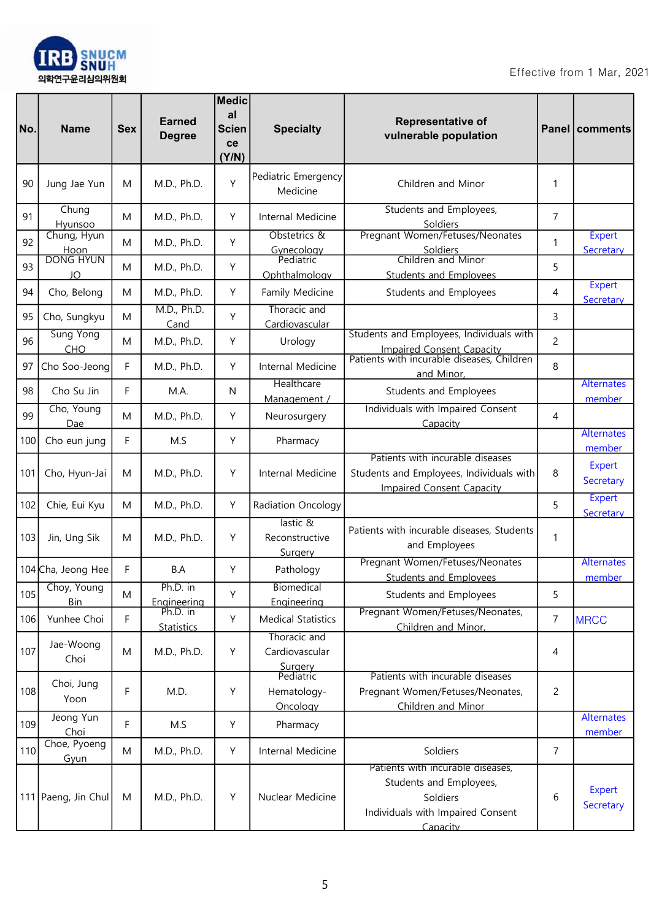

| No. | <b>Name</b>            | <b>Sex</b>  | <b>Earned</b><br><b>Degree</b> | <b>Medic</b><br>al<br><b>Scien</b><br>ce<br>(Y/N) | <b>Specialty</b>                                       | Representative of<br>vulnerable population                                                                                |                | <b>Panel   comments</b>     |
|-----|------------------------|-------------|--------------------------------|---------------------------------------------------|--------------------------------------------------------|---------------------------------------------------------------------------------------------------------------------------|----------------|-----------------------------|
| 90  | Jung Jae Yun           | M           | M.D., Ph.D.                    | Y                                                 | Pediatric Emergency<br>Medicine                        | Children and Minor                                                                                                        | 1              |                             |
| 91  | Chung<br>Hyunsoo       | M           | M.D., Ph.D.                    | Υ                                                 | Internal Medicine                                      | Students and Employees,<br>Soldiers                                                                                       | $\overline{7}$ |                             |
| 92  | Chung, Hyun<br>Hoon    | M           | M.D., Ph.D.                    | Y                                                 | Obstetrics &<br>Gynecology<br>Pediatric                | Pregnant Women/Fetuses/Neonates<br>Soldiers                                                                               | 1              | <b>Expert</b><br>Secretary  |
| 93  | <b>DONG HYUN</b><br>JO | M           | M.D., Ph.D.                    | Υ                                                 | Ophthalmology                                          | Children and Minor<br><b>Students and Employees</b>                                                                       | 5              |                             |
| 94  | Cho, Belong            | M           | M.D., Ph.D.                    | Υ                                                 | Family Medicine                                        | Students and Employees                                                                                                    | 4              | <b>Expert</b><br>Secretary  |
| 95  | Cho, Sungkyu           | M           | M.D., Ph.D.<br>Cand            | Υ                                                 | Thoracic and<br>Cardiovascular                         |                                                                                                                           | 3              |                             |
| 96  | Sung Yong<br>CHO       | M           | M.D., Ph.D.                    | Y                                                 | Urology                                                | Students and Employees, Individuals with<br>Impaired Consent Capacity<br>Patients with incurable diseases, Children       | $\overline{c}$ |                             |
| 97  | Cho Soo-Jeong          | F           | M.D., Ph.D.                    | Υ                                                 | Internal Medicine                                      | and Minor,                                                                                                                | 8              |                             |
| 98  | Cho Su Jin             | F           | M.A.                           | N                                                 | Healthcare<br>Management /                             | Students and Employees                                                                                                    |                | <b>Alternates</b><br>member |
| 99  | Cho, Young<br>Dae      | M           | M.D., Ph.D.                    | Y                                                 | Neurosurgery                                           | Individuals with Impaired Consent<br>Capacity                                                                             | 4              |                             |
| 100 | Cho eun jung           | F           | M.S                            | Y                                                 | Pharmacy                                               |                                                                                                                           |                | <b>Alternates</b><br>member |
| 101 | Cho, Hyun-Jai          | M           | M.D., Ph.D.                    | Υ                                                 | Internal Medicine                                      | Patients with incurable diseases<br>Students and Employees, Individuals with<br><b>Impaired Consent Capacity</b>          | 8              | Expert<br>Secretary         |
| 102 | Chie, Eui Kyu          | M           | M.D., Ph.D.                    | Υ                                                 | Radiation Oncology                                     |                                                                                                                           | 5              | <b>Expert</b><br>Secretary  |
| 103 | Jin, Ung Sik           | M           | M.D., Ph.D.                    | Y                                                 | lastic &<br>Reconstructive<br>Surgery                  | Patients with incurable diseases, Students<br>and Employees                                                               | 1              |                             |
|     | 104 Cha, Jeong Hee     | F           | B.A                            | Y                                                 | Pathology                                              | Pregnant Women/Fetuses/Neonates<br><b>Students and Employees</b>                                                          |                | <b>Alternates</b><br>member |
| 105 | Choy, Young<br>Bin     | M           | $Ph.D.$ In<br>Engineering      | Υ                                                 | <b>Biomedical</b><br>Engineering                       | Students and Employees                                                                                                    | 5              |                             |
| 106 | Yunhee Choi            | F           | Ph.D. in<br><b>Statistics</b>  | Y                                                 | <b>Medical Statistics</b>                              | Pregnant Women/Fetuses/Neonates,<br>Children and Minor,                                                                   | $\overline{7}$ | <b>MRCC</b>                 |
| 107 | Jae-Woong<br>Choi      | M           | M.D., Ph.D.                    | Υ                                                 | Thoracic and<br>Cardiovascular<br>Surgery<br>Pediatric |                                                                                                                           | 4              |                             |
| 108 | Choi, Jung<br>Yoon     | $\mathsf F$ | M.D.                           | Υ                                                 | Hematology-<br>Oncology                                | Patients with incurable diseases<br>Pregnant Women/Fetuses/Neonates,<br>Children and Minor                                | $\overline{c}$ |                             |
| 109 | Jeong Yun<br>Choi      | $\mathsf F$ | M.S                            | Y                                                 | Pharmacy                                               |                                                                                                                           |                | <b>Alternates</b><br>member |
| 110 | Choe, Pyoeng<br>Gyun   | M           | M.D., Ph.D.                    | Y                                                 | Internal Medicine                                      | Soldiers                                                                                                                  | 7              |                             |
|     | 111 Paeng, Jin Chul    | M           | M.D., Ph.D.                    | Υ                                                 | Nuclear Medicine                                       | Patients with incurable diseases,<br>Students and Employees,<br>Soldiers<br>Individuals with Impaired Consent<br>Canacity | 6              | Expert<br>Secretary         |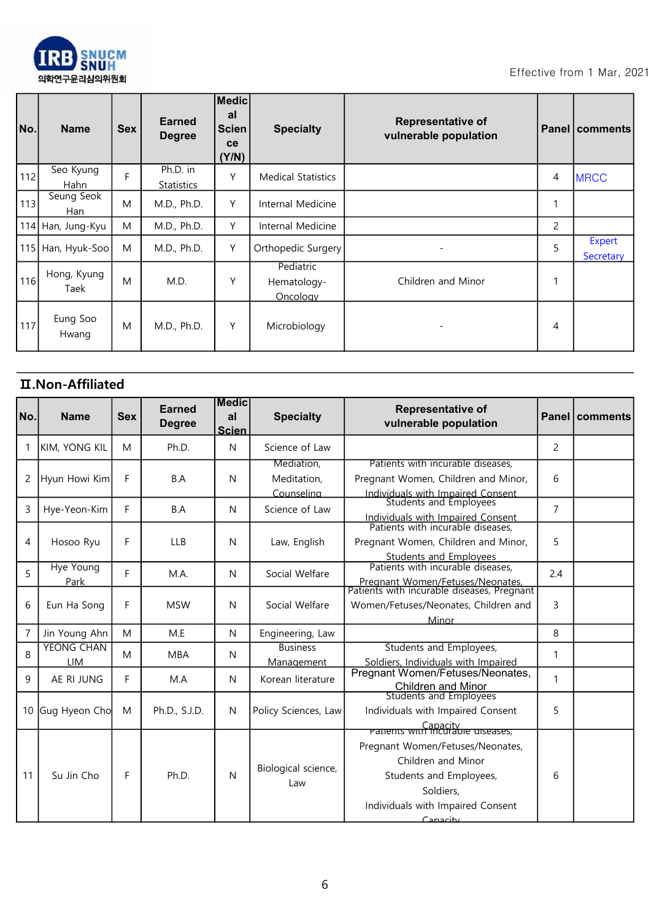

| No. | <b>Name</b>         | <b>Sex</b> | Earned<br><b>Degree</b> | <b>Medic</b><br>al<br><b>Scien</b><br>ce<br>(Y/N) | <b>Specialty</b>                     | <b>Representative of</b><br>vulnerable population |   | <b>Panel comments</b> |
|-----|---------------------|------------|-------------------------|---------------------------------------------------|--------------------------------------|---------------------------------------------------|---|-----------------------|
| 112 | Seo Kyung<br>Hahn   | F          | Ph.D. in<br>Statistics  | Υ                                                 | <b>Medical Statistics</b>            |                                                   | 4 | <b>MRCC</b>           |
| 113 | Seung Seok<br>Han   | M          | M.D., Ph.D.             | Y                                                 | Internal Medicine                    |                                                   |   |                       |
|     | 114 Han, Jung-Kyu   | M          | M.D., Ph.D.             | Y                                                 | Internal Medicine                    |                                                   | 2 |                       |
|     | 115 Han, Hyuk-Soo   | M          | M.D., Ph.D.             | Υ                                                 | Orthopedic Surgery                   | ۰                                                 | 5 | Expert<br>Secretary   |
| 116 | Hong, Kyung<br>Taek | M          | M.D.                    | Υ                                                 | Pediatric<br>Hematology-<br>Oncology | Children and Minor                                | 1 |                       |
| 117 | Eung Soo<br>Hwang   | M          | M.D., Ph.D.             | Y                                                 | Microbiology                         |                                                   | 4 |                       |

## Ⅱ.Non-Affiliated

| No.            | <b>Name</b>                     | <b>Sex</b> | <b>Earned</b><br><b>Degree</b> | <b>IMedic</b><br>al<br><b>Scien</b> | <b>Specialty</b>                        | <b>Representative of</b><br>vulnerable population                                                                                                 |                | Panel   comments |
|----------------|---------------------------------|------------|--------------------------------|-------------------------------------|-----------------------------------------|---------------------------------------------------------------------------------------------------------------------------------------------------|----------------|------------------|
| 1              | <b>KIM, YONG KIL</b>            | M          | Ph.D.                          | N                                   | Science of Law                          |                                                                                                                                                   | $\overline{2}$ |                  |
| 2              | Hyun Howi Kim                   | F          | B.A                            | N                                   | Mediation,<br>Meditation,<br>Counselina | Patients with incurable diseases,<br>Pregnant Women, Children and Minor,                                                                          | 6              |                  |
| 3              | Hye-Yeon-Kim                    | F          | B.A                            | N                                   | Science of Law                          | Individuals with Impaired Consent<br>Students and Employees<br>Individuals with Impaired Consent                                                  | $\overline{7}$ |                  |
| 4              | Hosoo Ryu                       | F          | <b>LLB</b>                     | N                                   | Law, English                            | Patients with incurable diseases,<br>Pregnant Women, Children and Minor,<br><b>Students and Employees</b>                                         | 5              |                  |
| 5              | <b>Hye Young</b><br>Park        | F          | M.A.                           | N                                   | Social Welfare                          | Patients with incurable diseases,<br>Pregnant Women/Fetuses/Neonates,<br>Patients with incurable diseases, Pregnant                               | 2.4            |                  |
| 6              | Eun Ha Song                     | F          | <b>MSW</b>                     | N                                   | Social Welfare                          | Women/Fetuses/Neonates, Children and<br>Minor                                                                                                     | 3              |                  |
| $\overline{7}$ | Jin Young Ahn                   | M          | M.E                            | N                                   | Engineering, Law                        |                                                                                                                                                   | 8              |                  |
| 8              | <b>YEONG CHAN</b><br><b>LIM</b> | M          | <b>MBA</b>                     | N                                   | <b>Business</b><br>Management           | Students and Employees,<br>Soldiers, Individuals with Impaired                                                                                    | 1              |                  |
| 9              | AE RI JUNG                      | F.         | M.A                            | N                                   | Korean literature                       | Pregnant Women/Fetuses/Neonates,<br><b>Children and Minor</b>                                                                                     | 1              |                  |
| 10             | Gug Hyeon Cho                   | M          | Ph.D., S.J.D.                  | N                                   | Policy Sciences, Law                    | <b>Students and Employees</b><br>Individuals with Impaired Consent<br><b>Patients with incurable algebra</b><br>Patients with incurable diseases, | 5              |                  |
| 11             | Su Jin Cho                      | F          | Ph.D.                          | N                                   | Biological science,<br>Law              | Pregnant Women/Fetuses/Neonates,<br>Children and Minor<br>Students and Employees,<br>Soldiers,<br>Individuals with Impaired Consent<br>Canacity   | 6              |                  |